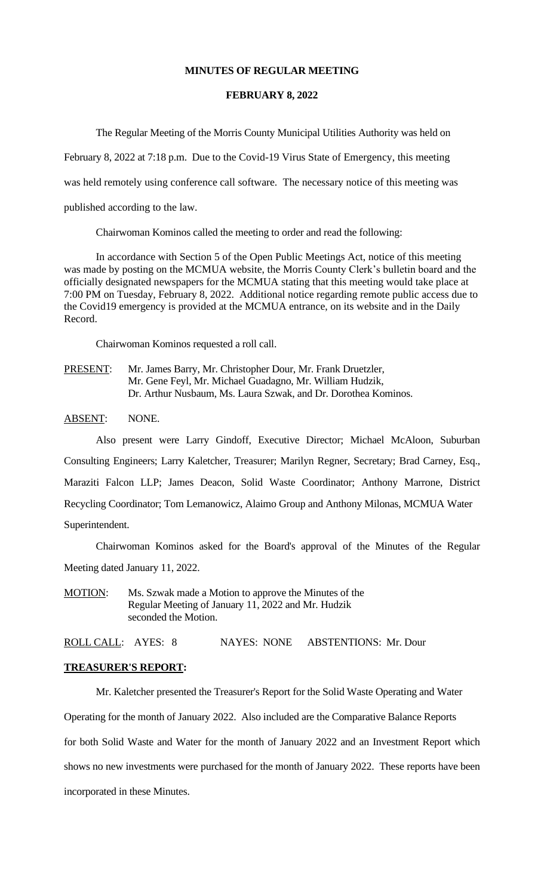### **MINUTES OF REGULAR MEETING**

#### **FEBRUARY 8, 2022**

The Regular Meeting of the Morris County Municipal Utilities Authority was held on

February 8, 2022 at 7:18 p.m. Due to the Covid-19 Virus State of Emergency, this meeting

was held remotely using conference call software. The necessary notice of this meeting was

published according to the law.

Chairwoman Kominos called the meeting to order and read the following:

In accordance with Section 5 of the Open Public Meetings Act, notice of this meeting was made by posting on the MCMUA website, the Morris County Clerk's bulletin board and the officially designated newspapers for the MCMUA stating that this meeting would take place at 7:00 PM on Tuesday, February 8, 2022. Additional notice regarding remote public access due to the Covid19 emergency is provided at the MCMUA entrance, on its website and in the Daily Record.

Chairwoman Kominos requested a roll call.

PRESENT: Mr. James Barry, Mr. Christopher Dour, Mr. Frank Druetzler, Mr. Gene Feyl, Mr. Michael Guadagno, Mr. William Hudzik, Dr. Arthur Nusbaum, Ms. Laura Szwak, and Dr. Dorothea Kominos.

#### ABSENT: NONE.

Also present were Larry Gindoff, Executive Director; Michael McAloon, Suburban Consulting Engineers; Larry Kaletcher, Treasurer; Marilyn Regner, Secretary; Brad Carney, Esq., Maraziti Falcon LLP; James Deacon, Solid Waste Coordinator; Anthony Marrone, District Recycling Coordinator; Tom Lemanowicz, Alaimo Group and Anthony Milonas, MCMUA Water Superintendent.

Chairwoman Kominos asked for the Board's approval of the Minutes of the Regular Meeting dated January 11, 2022.

MOTION: Ms. Szwak made a Motion to approve the Minutes of the Regular Meeting of January 11, 2022 and Mr. Hudzik seconded the Motion.

ROLL CALL: AYES: 8 NAYES: NONE ABSTENTIONS: Mr. Dour

## **TREASURER'S REPORT:**

Mr. Kaletcher presented the Treasurer's Report for the Solid Waste Operating and Water

Operating for the month of January 2022. Also included are the Comparative Balance Reports

for both Solid Waste and Water for the month of January 2022 and an Investment Report which

shows no new investments were purchased for the month of January 2022. These reports have been

incorporated in these Minutes.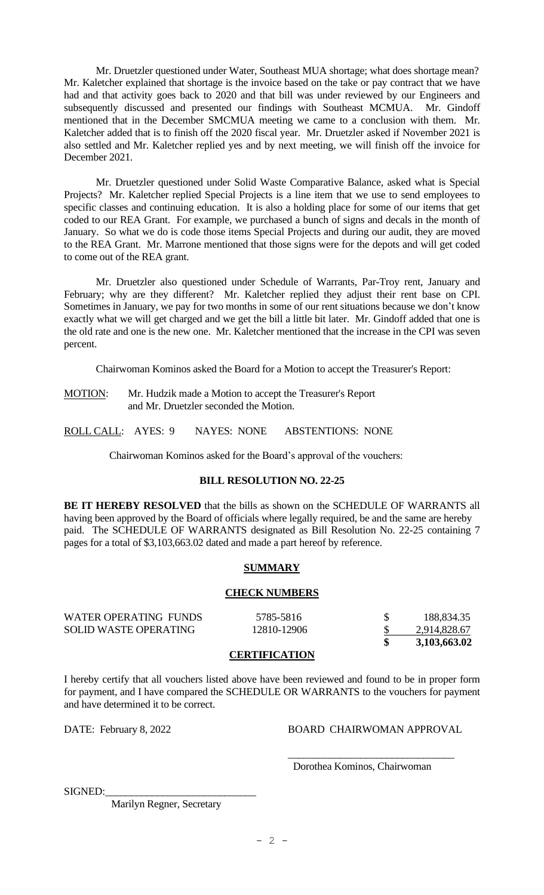Mr. Druetzler questioned under Water, Southeast MUA shortage; what does shortage mean? Mr. Kaletcher explained that shortage is the invoice based on the take or pay contract that we have had and that activity goes back to 2020 and that bill was under reviewed by our Engineers and subsequently discussed and presented our findings with Southeast MCMUA. Mr. Gindoff mentioned that in the December SMCMUA meeting we came to a conclusion with them. Mr. Kaletcher added that is to finish off the 2020 fiscal year. Mr. Druetzler asked if November 2021 is also settled and Mr. Kaletcher replied yes and by next meeting, we will finish off the invoice for December 2021.

Mr. Druetzler questioned under Solid Waste Comparative Balance, asked what is Special Projects? Mr. Kaletcher replied Special Projects is a line item that we use to send employees to specific classes and continuing education. It is also a holding place for some of our items that get coded to our REA Grant. For example, we purchased a bunch of signs and decals in the month of January. So what we do is code those items Special Projects and during our audit, they are moved to the REA Grant. Mr. Marrone mentioned that those signs were for the depots and will get coded to come out of the REA grant.

Mr. Druetzler also questioned under Schedule of Warrants, Par-Troy rent, January and February; why are they different? Mr. Kaletcher replied they adjust their rent base on CPI. Sometimes in January, we pay for two months in some of our rent situations because we don't know exactly what we will get charged and we get the bill a little bit later. Mr. Gindoff added that one is the old rate and one is the new one. Mr. Kaletcher mentioned that the increase in the CPI was seven percent.

Chairwoman Kominos asked the Board for a Motion to accept the Treasurer's Report:

MOTION: Mr. Hudzik made a Motion to accept the Treasurer's Report and Mr. Druetzler seconded the Motion.

ROLL CALL: AYES: 9 NAYES: NONE ABSTENTIONS: NONE

Chairwoman Kominos asked for the Board's approval of the vouchers:

## **BILL RESOLUTION NO. 22-25**

**BE IT HEREBY RESOLVED** that the bills as shown on the SCHEDULE OF WARRANTS all having been approved by the Board of officials where legally required, be and the same are hereby paid. The SCHEDULE OF WARRANTS designated as Bill Resolution No. 22-25 containing 7 pages for a total of \$3,103,663.02 dated and made a part hereof by reference.

## **SUMMARY**

## **CHECK NUMBERS**

| $\alpha$ protector $\alpha$ introduction $\alpha$ |              |
|---------------------------------------------------|--------------|
|                                                   | 3,103,663.02 |
| 12810-12906                                       | 2,914,828.67 |
| 5785-5816                                         | 188,834.35   |
|                                                   |              |

#### **CERTIFICATION**

I hereby certify that all vouchers listed above have been reviewed and found to be in proper form for payment, and I have compared the SCHEDULE OR WARRANTS to the vouchers for payment and have determined it to be correct.

DATE: February 8, 2022 BOARD CHAIRWOMAN APPROVAL

\_\_\_\_\_\_\_\_\_\_\_\_\_\_\_\_\_\_\_\_\_\_\_\_\_\_\_\_\_\_\_\_

Dorothea Kominos, Chairwoman

SIGNED:

Marilyn Regner, Secretary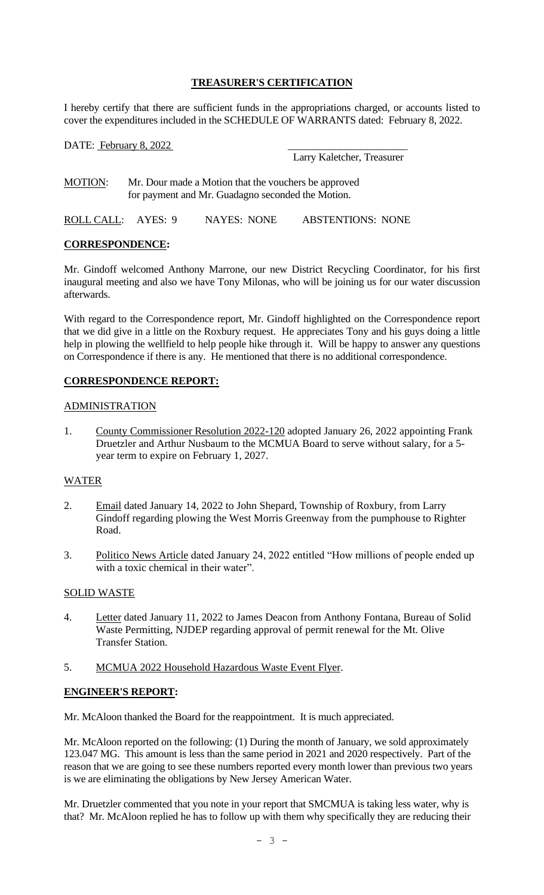## **TREASURER'S CERTIFICATION**

I hereby certify that there are sufficient funds in the appropriations charged, or accounts listed to cover the expenditures included in the SCHEDULE OF WARRANTS dated: February 8, 2022.

| DATE: February 8, 2022                                                                                                      |  |             |                            |
|-----------------------------------------------------------------------------------------------------------------------------|--|-------------|----------------------------|
|                                                                                                                             |  |             | Larry Kaletcher, Treasurer |
| <b>MOTION:</b><br>Mr. Dour made a Motion that the vouchers be approved<br>for payment and Mr. Guadagno seconded the Motion. |  |             |                            |
| ROLL CALL: AYES: 9                                                                                                          |  | NAYES: NONE | <b>ABSTENTIONS: NONE</b>   |

## **CORRESPONDENCE:**

Mr. Gindoff welcomed Anthony Marrone, our new District Recycling Coordinator, for his first inaugural meeting and also we have Tony Milonas, who will be joining us for our water discussion afterwards.

With regard to the Correspondence report, Mr. Gindoff highlighted on the Correspondence report that we did give in a little on the Roxbury request. He appreciates Tony and his guys doing a little help in plowing the wellfield to help people hike through it. Will be happy to answer any questions on Correspondence if there is any. He mentioned that there is no additional correspondence.

## **CORRESPONDENCE REPORT:**

## ADMINISTRATION

1. County Commissioner Resolution 2022-120 adopted January 26, 2022 appointing Frank Druetzler and Arthur Nusbaum to the MCMUA Board to serve without salary, for a 5 year term to expire on February 1, 2027.

## WATER

- 2. Email dated January 14, 2022 to John Shepard, Township of Roxbury, from Larry Gindoff regarding plowing the West Morris Greenway from the pumphouse to Righter Road.
- 3. Politico News Article dated January 24, 2022 entitled "How millions of people ended up with a toxic chemical in their water".

## SOLID WASTE

- 4. Letter dated January 11, 2022 to James Deacon from Anthony Fontana, Bureau of Solid Waste Permitting, NJDEP regarding approval of permit renewal for the Mt. Olive Transfer Station.
- 5. MCMUA 2022 Household Hazardous Waste Event Flyer.

## **ENGINEER'S REPORT:**

Mr. McAloon thanked the Board for the reappointment. It is much appreciated.

Mr. McAloon reported on the following: (1) During the month of January, we sold approximately 123.047 MG. This amount is less than the same period in 2021 and 2020 respectively. Part of the reason that we are going to see these numbers reported every month lower than previous two years is we are eliminating the obligations by New Jersey American Water.

Mr. Druetzler commented that you note in your report that SMCMUA is taking less water, why is that? Mr. McAloon replied he has to follow up with them why specifically they are reducing their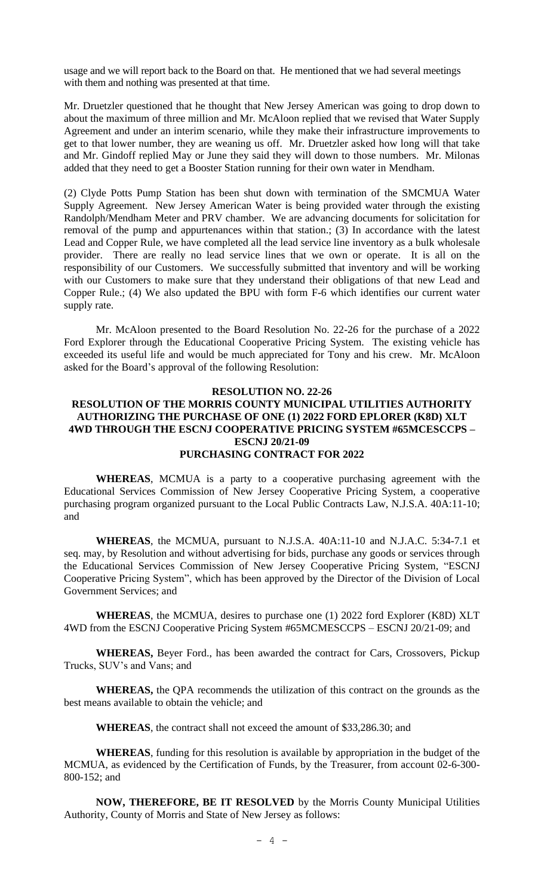usage and we will report back to the Board on that. He mentioned that we had several meetings with them and nothing was presented at that time.

Mr. Druetzler questioned that he thought that New Jersey American was going to drop down to about the maximum of three million and Mr. McAloon replied that we revised that Water Supply Agreement and under an interim scenario, while they make their infrastructure improvements to get to that lower number, they are weaning us off. Mr. Druetzler asked how long will that take and Mr. Gindoff replied May or June they said they will down to those numbers. Mr. Milonas added that they need to get a Booster Station running for their own water in Mendham.

(2) Clyde Potts Pump Station has been shut down with termination of the SMCMUA Water Supply Agreement. New Jersey American Water is being provided water through the existing Randolph/Mendham Meter and PRV chamber. We are advancing documents for solicitation for removal of the pump and appurtenances within that station.; (3) In accordance with the latest Lead and Copper Rule, we have completed all the lead service line inventory as a bulk wholesale provider. There are really no lead service lines that we own or operate. It is all on the responsibility of our Customers. We successfully submitted that inventory and will be working with our Customers to make sure that they understand their obligations of that new Lead and Copper Rule.; (4) We also updated the BPU with form F-6 which identifies our current water supply rate.

Mr. McAloon presented to the Board Resolution No. 22-26 for the purchase of a 2022 Ford Explorer through the Educational Cooperative Pricing System. The existing vehicle has exceeded its useful life and would be much appreciated for Tony and his crew. Mr. McAloon asked for the Board's approval of the following Resolution:

#### **RESOLUTION NO. 22-26**

### **RESOLUTION OF THE MORRIS COUNTY MUNICIPAL UTILITIES AUTHORITY AUTHORIZING THE PURCHASE OF ONE (1) 2022 FORD EPLORER (K8D) XLT 4WD THROUGH THE ESCNJ COOPERATIVE PRICING SYSTEM #65MCESCCPS – ESCNJ 20/21-09 PURCHASING CONTRACT FOR 2022**

**WHEREAS**, MCMUA is a party to a cooperative purchasing agreement with the Educational Services Commission of New Jersey Cooperative Pricing System, a cooperative purchasing program organized pursuant to the Local Public Contracts Law, N.J.S.A. 40A:11-10; and

**WHEREAS**, the MCMUA, pursuant to N.J.S.A. 40A:11-10 and N.J.A.C. 5:34-7.1 et seq. may, by Resolution and without advertising for bids, purchase any goods or services through the Educational Services Commission of New Jersey Cooperative Pricing System, "ESCNJ Cooperative Pricing System", which has been approved by the Director of the Division of Local Government Services; and

**WHEREAS**, the MCMUA, desires to purchase one (1) 2022 ford Explorer (K8D) XLT 4WD from the ESCNJ Cooperative Pricing System #65MCMESCCPS – ESCNJ 20/21-09; and

**WHEREAS,** Beyer Ford., has been awarded the contract for Cars, Crossovers, Pickup Trucks, SUV's and Vans; and

**WHEREAS,** the QPA recommends the utilization of this contract on the grounds as the best means available to obtain the vehicle; and

**WHEREAS**, the contract shall not exceed the amount of \$33,286.30; and

**WHEREAS**, funding for this resolution is available by appropriation in the budget of the MCMUA, as evidenced by the Certification of Funds, by the Treasurer, from account 02-6-300- 800-152; and

**NOW, THEREFORE, BE IT RESOLVED** by the Morris County Municipal Utilities Authority, County of Morris and State of New Jersey as follows: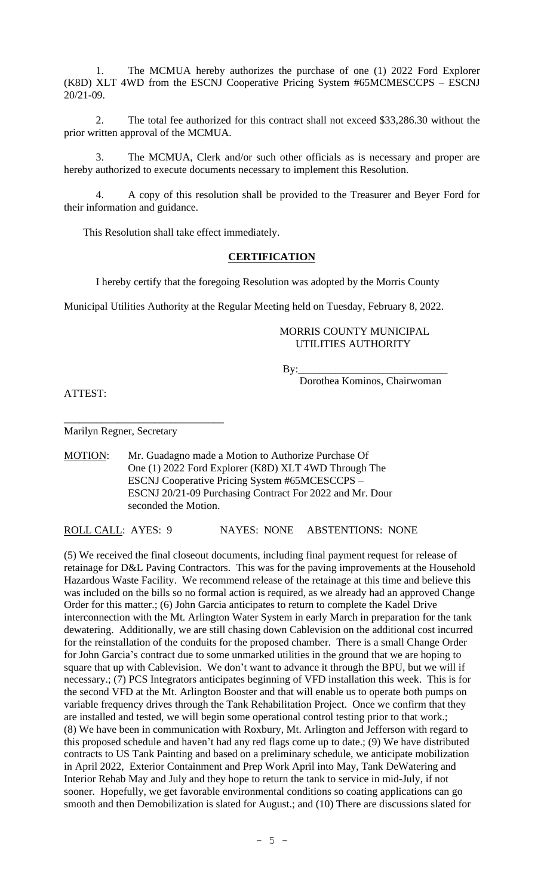1. The MCMUA hereby authorizes the purchase of one (1) 2022 Ford Explorer (K8D) XLT 4WD from the ESCNJ Cooperative Pricing System #65MCMESCCPS – ESCNJ 20/21-09.

2. The total fee authorized for this contract shall not exceed \$33,286.30 without the prior written approval of the MCMUA.

3. The MCMUA, Clerk and/or such other officials as is necessary and proper are hereby authorized to execute documents necessary to implement this Resolution.

4. A copy of this resolution shall be provided to the Treasurer and Beyer Ford for their information and guidance.

This Resolution shall take effect immediately.

### **CERTIFICATION**

I hereby certify that the foregoing Resolution was adopted by the Morris County

Municipal Utilities Authority at the Regular Meeting held on Tuesday, February 8, 2022.

### MORRIS COUNTY MUNICIPAL UTILITIES AUTHORITY

 $By:$ 

Dorothea Kominos, Chairwoman

ATTEST:

Marilyn Regner, Secretary

\_\_\_\_\_\_\_\_\_\_\_\_\_\_\_\_\_\_\_\_\_\_\_\_\_\_\_\_\_\_

MOTION: Mr. Guadagno made a Motion to Authorize Purchase Of One (1) 2022 Ford Explorer (K8D) XLT 4WD Through The ESCNJ Cooperative Pricing System #65MCESCCPS – ESCNJ 20/21-09 Purchasing Contract For 2022 and Mr. Dour seconded the Motion.

ROLL CALL: AYES: 9 NAYES: NONE ABSTENTIONS: NONE

(5) We received the final closeout documents, including final payment request for release of retainage for D&L Paving Contractors. This was for the paving improvements at the Household Hazardous Waste Facility. We recommend release of the retainage at this time and believe this was included on the bills so no formal action is required, as we already had an approved Change Order for this matter.; (6) John Garcia anticipates to return to complete the Kadel Drive interconnection with the Mt. Arlington Water System in early March in preparation for the tank dewatering. Additionally, we are still chasing down Cablevision on the additional cost incurred for the reinstallation of the conduits for the proposed chamber. There is a small Change Order for John Garcia's contract due to some unmarked utilities in the ground that we are hoping to square that up with Cablevision. We don't want to advance it through the BPU, but we will if necessary.; (7) PCS Integrators anticipates beginning of VFD installation this week. This is for the second VFD at the Mt. Arlington Booster and that will enable us to operate both pumps on variable frequency drives through the Tank Rehabilitation Project. Once we confirm that they are installed and tested, we will begin some operational control testing prior to that work.; (8) We have been in communication with Roxbury, Mt. Arlington and Jefferson with regard to this proposed schedule and haven't had any red flags come up to date.; (9) We have distributed contracts to US Tank Painting and based on a preliminary schedule, we anticipate mobilization in April 2022, Exterior Containment and Prep Work April into May, Tank DeWatering and Interior Rehab May and July and they hope to return the tank to service in mid-July, if not sooner. Hopefully, we get favorable environmental conditions so coating applications can go smooth and then Demobilization is slated for August.; and (10) There are discussions slated for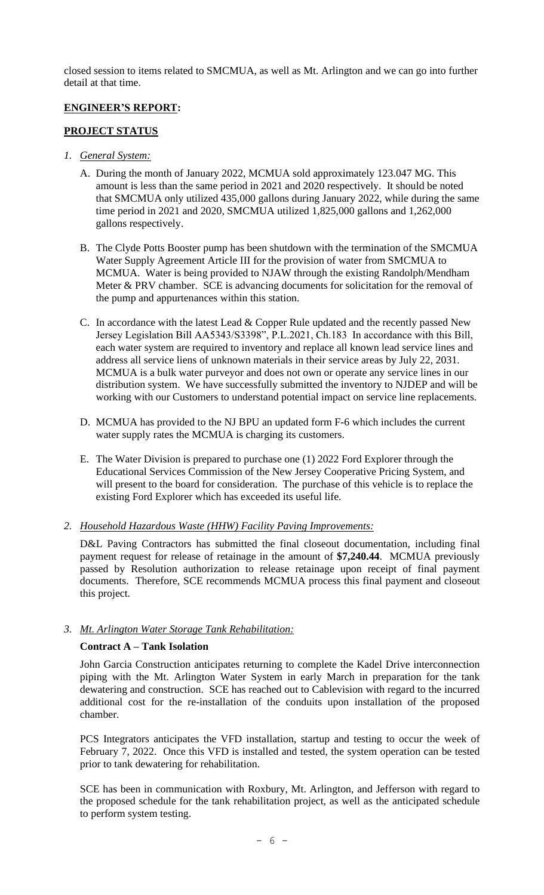closed session to items related to SMCMUA, as well as Mt. Arlington and we can go into further detail at that time.

# **ENGINEER'S REPORT:**

## **PROJECT STATUS**

- *1. General System:*
	- A. During the month of January 2022, MCMUA sold approximately 123.047 MG. This amount is less than the same period in 2021 and 2020 respectively. It should be noted that SMCMUA only utilized 435,000 gallons during January 2022, while during the same time period in 2021 and 2020, SMCMUA utilized 1,825,000 gallons and 1,262,000 gallons respectively.
	- B. The Clyde Potts Booster pump has been shutdown with the termination of the SMCMUA Water Supply Agreement Article III for the provision of water from SMCMUA to MCMUA. Water is being provided to NJAW through the existing Randolph/Mendham Meter & PRV chamber. SCE is advancing documents for solicitation for the removal of the pump and appurtenances within this station.
	- C. In accordance with the latest Lead  $&$  Copper Rule updated and the recently passed New Jersey Legislation Bill AA5343/S3398", P.L.2021, Ch.183 In accordance with this Bill, each water system are required to inventory and replace all known lead service lines and address all service liens of unknown materials in their service areas by July 22, 2031. MCMUA is a bulk water purveyor and does not own or operate any service lines in our distribution system. We have successfully submitted the inventory to NJDEP and will be working with our Customers to understand potential impact on service line replacements.
	- D. MCMUA has provided to the NJ BPU an updated form F-6 which includes the current water supply rates the MCMUA is charging its customers.
	- E. The Water Division is prepared to purchase one (1) 2022 Ford Explorer through the Educational Services Commission of the New Jersey Cooperative Pricing System, and will present to the board for consideration. The purchase of this vehicle is to replace the existing Ford Explorer which has exceeded its useful life.
- *2. Household Hazardous Waste (HHW) Facility Paving Improvements:*

D&L Paving Contractors has submitted the final closeout documentation, including final payment request for release of retainage in the amount of **\$7,240.44**. MCMUA previously passed by Resolution authorization to release retainage upon receipt of final payment documents. Therefore, SCE recommends MCMUA process this final payment and closeout this project.

## *3. Mt. Arlington Water Storage Tank Rehabilitation:*

## **Contract A – Tank Isolation**

John Garcia Construction anticipates returning to complete the Kadel Drive interconnection piping with the Mt. Arlington Water System in early March in preparation for the tank dewatering and construction. SCE has reached out to Cablevision with regard to the incurred additional cost for the re-installation of the conduits upon installation of the proposed chamber.

PCS Integrators anticipates the VFD installation, startup and testing to occur the week of February 7, 2022. Once this VFD is installed and tested, the system operation can be tested prior to tank dewatering for rehabilitation.

SCE has been in communication with Roxbury, Mt. Arlington, and Jefferson with regard to the proposed schedule for the tank rehabilitation project, as well as the anticipated schedule to perform system testing.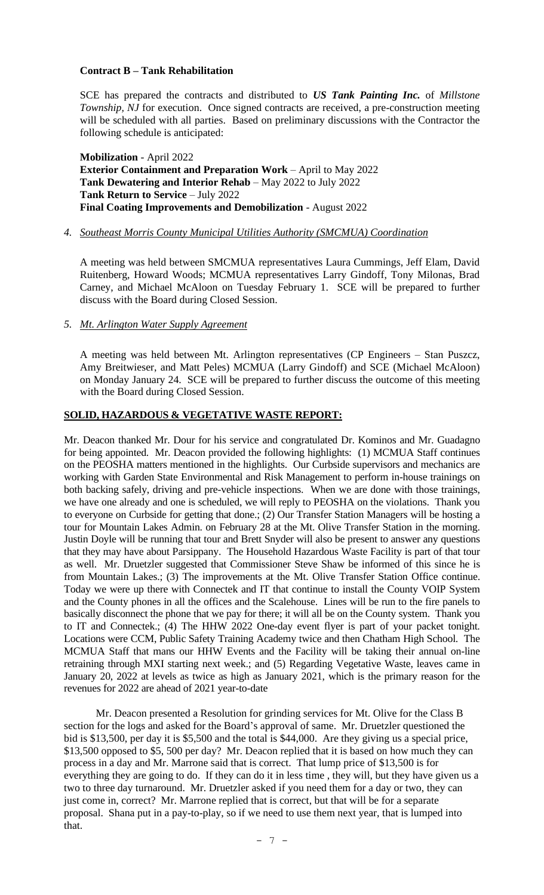## **Contract B – Tank Rehabilitation**

SCE has prepared the contracts and distributed to *US Tank Painting Inc.* of *Millstone Township, NJ* for execution. Once signed contracts are received, a pre-construction meeting will be scheduled with all parties. Based on preliminary discussions with the Contractor the following schedule is anticipated:

**Mobilization** - April 2022 **Exterior Containment and Preparation Work** – April to May 2022 **Tank Dewatering and Interior Rehab** – May 2022 to July 2022 **Tank Return to Service** – July 2022 **Final Coating Improvements and Demobilization** - August 2022

## *4. Southeast Morris County Municipal Utilities Authority (SMCMUA) Coordination*

A meeting was held between SMCMUA representatives Laura Cummings, Jeff Elam, David Ruitenberg, Howard Woods; MCMUA representatives Larry Gindoff, Tony Milonas, Brad Carney, and Michael McAloon on Tuesday February 1. SCE will be prepared to further discuss with the Board during Closed Session.

## *5. Mt. Arlington Water Supply Agreement*

A meeting was held between Mt. Arlington representatives (CP Engineers – Stan Puszcz, Amy Breitwieser, and Matt Peles) MCMUA (Larry Gindoff) and SCE (Michael McAloon) on Monday January 24. SCE will be prepared to further discuss the outcome of this meeting with the Board during Closed Session.

## **SOLID, HAZARDOUS & VEGETATIVE WASTE REPORT:**

Mr. Deacon thanked Mr. Dour for his service and congratulated Dr. Kominos and Mr. Guadagno for being appointed. Mr. Deacon provided the following highlights: (1) MCMUA Staff continues on the PEOSHA matters mentioned in the highlights. Our Curbside supervisors and mechanics are working with Garden State Environmental and Risk Management to perform in-house trainings on both backing safely, driving and pre-vehicle inspections. When we are done with those trainings, we have one already and one is scheduled, we will reply to PEOSHA on the violations. Thank you to everyone on Curbside for getting that done.; (2) Our Transfer Station Managers will be hosting a tour for Mountain Lakes Admin. on February 28 at the Mt. Olive Transfer Station in the morning. Justin Doyle will be running that tour and Brett Snyder will also be present to answer any questions that they may have about Parsippany. The Household Hazardous Waste Facility is part of that tour as well. Mr. Druetzler suggested that Commissioner Steve Shaw be informed of this since he is from Mountain Lakes.; (3) The improvements at the Mt. Olive Transfer Station Office continue. Today we were up there with Connectek and IT that continue to install the County VOIP System and the County phones in all the offices and the Scalehouse. Lines will be run to the fire panels to basically disconnect the phone that we pay for there; it will all be on the County system. Thank you to IT and Connectek.; (4) The HHW 2022 One-day event flyer is part of your packet tonight. Locations were CCM, Public Safety Training Academy twice and then Chatham High School. The MCMUA Staff that mans our HHW Events and the Facility will be taking their annual on-line retraining through MXI starting next week.; and (5) Regarding Vegetative Waste, leaves came in January 20, 2022 at levels as twice as high as January 2021, which is the primary reason for the revenues for 2022 are ahead of 2021 year-to-date

Mr. Deacon presented a Resolution for grinding services for Mt. Olive for the Class B section for the logs and asked for the Board's approval of same. Mr. Druetzler questioned the bid is \$13,500, per day it is \$5,500 and the total is \$44,000. Are they giving us a special price, \$13,500 opposed to \$5, 500 per day? Mr. Deacon replied that it is based on how much they can process in a day and Mr. Marrone said that is correct. That lump price of \$13,500 is for everything they are going to do. If they can do it in less time , they will, but they have given us a two to three day turnaround. Mr. Druetzler asked if you need them for a day or two, they can just come in, correct? Mr. Marrone replied that is correct, but that will be for a separate proposal. Shana put in a pay-to-play, so if we need to use them next year, that is lumped into that.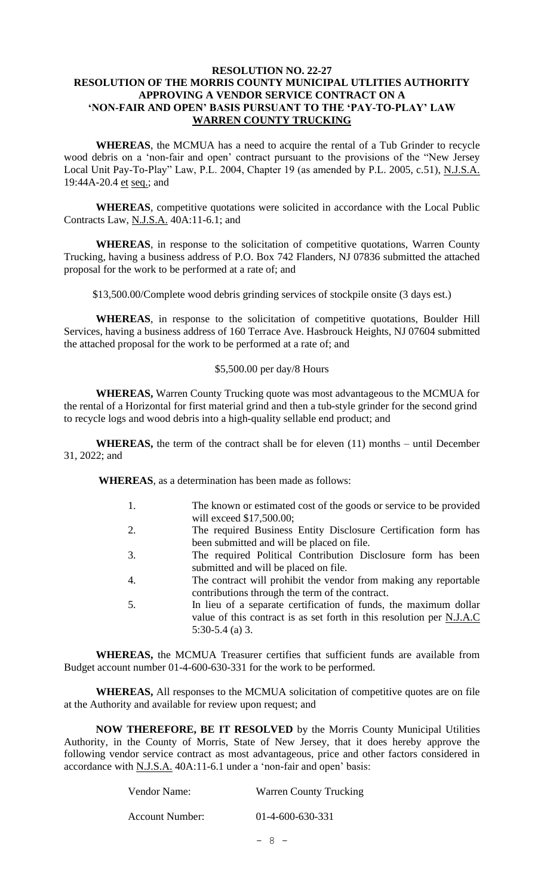## **RESOLUTION NO. 22-27 RESOLUTION OF THE MORRIS COUNTY MUNICIPAL UTLITIES AUTHORITY APPROVING A VENDOR SERVICE CONTRACT ON A 'NON-FAIR AND OPEN' BASIS PURSUANT TO THE 'PAY-TO-PLAY' LAW WARREN COUNTY TRUCKING**

**WHEREAS**, the MCMUA has a need to acquire the rental of a Tub Grinder to recycle wood debris on a 'non-fair and open' contract pursuant to the provisions of the "New Jersey Local Unit Pay-To-Play" Law, P.L. 2004, Chapter 19 (as amended by P.L. 2005, c.51), N.J.S.A. 19:44A-20.4 et seq.; and

**WHEREAS**, competitive quotations were solicited in accordance with the Local Public Contracts Law, N.J.S.A. 40A:11-6.1; and

**WHEREAS**, in response to the solicitation of competitive quotations, Warren County Trucking, having a business address of P.O. Box 742 Flanders, NJ 07836 submitted the attached proposal for the work to be performed at a rate of; and

\$13,500.00/Complete wood debris grinding services of stockpile onsite (3 days est.)

**WHEREAS**, in response to the solicitation of competitive quotations, Boulder Hill Services, having a business address of 160 Terrace Ave. Hasbrouck Heights, NJ 07604 submitted the attached proposal for the work to be performed at a rate of; and

### \$5,500.00 per day/8 Hours

**WHEREAS,** Warren County Trucking quote was most advantageous to the MCMUA for the rental of a Horizontal for first material grind and then a tub-style grinder for the second grind to recycle logs and wood debris into a high-quality sellable end product; and

**WHEREAS,** the term of the contract shall be for eleven (11) months – until December 31, 2022; and

**WHEREAS**, as a determination has been made as follows:

- 1. The known or estimated cost of the goods or service to be provided will exceed \$17,500.00;
- 2. The required Business Entity Disclosure Certification form has been submitted and will be placed on file.
- 3. The required Political Contribution Disclosure form has been submitted and will be placed on file.
- 4. The contract will prohibit the vendor from making any reportable contributions through the term of the contract.
- 5. In lieu of a separate certification of funds, the maximum dollar value of this contract is as set forth in this resolution per N.J.A.C 5:30-5.4 (a) 3.

**WHEREAS,** the MCMUA Treasurer certifies that sufficient funds are available from Budget account number 01-4-600-630-331 for the work to be performed.

**WHEREAS,** All responses to the MCMUA solicitation of competitive quotes are on file at the Authority and available for review upon request; and

**NOW THEREFORE, BE IT RESOLVED** by the Morris County Municipal Utilities Authority, in the County of Morris, State of New Jersey, that it does hereby approve the following vendor service contract as most advantageous, price and other factors considered in accordance with N.J.S.A. 40A:11-6.1 under a 'non-fair and open' basis:

| Vendor Name:    | <b>Warren County Trucking</b> |  |  |
|-----------------|-------------------------------|--|--|
| Account Number: | $01-4-600-630-331$            |  |  |
|                 | $-8 -$                        |  |  |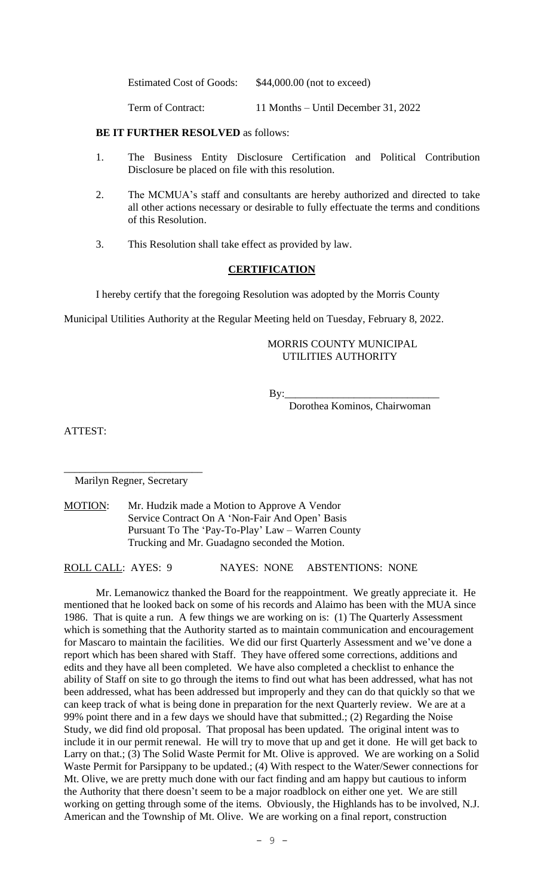Estimated Cost of Goods: \$44,000.00 (not to exceed)

Term of Contract: 11 Months – Until December 31, 2022

**BE IT FURTHER RESOLVED** as follows:

- 1. The Business Entity Disclosure Certification and Political Contribution Disclosure be placed on file with this resolution.
- 2. The MCMUA's staff and consultants are hereby authorized and directed to take all other actions necessary or desirable to fully effectuate the terms and conditions of this Resolution.
- 3. This Resolution shall take effect as provided by law.

### **CERTIFICATION**

I hereby certify that the foregoing Resolution was adopted by the Morris County

Municipal Utilities Authority at the Regular Meeting held on Tuesday, February 8, 2022.

## MORRIS COUNTY MUNICIPAL UTILITIES AUTHORITY

By:\_\_\_\_\_\_\_\_\_\_\_\_\_\_\_\_\_\_\_\_\_\_\_\_\_\_\_\_\_

Dorothea Kominos, Chairwoman

ATTEST:

\_\_\_\_\_\_\_\_\_\_\_\_\_\_\_\_\_\_\_\_\_\_\_\_\_\_ Marilyn Regner, Secretary

MOTION: Mr. Hudzik made a Motion to Approve A Vendor Service Contract On A 'Non-Fair And Open' Basis Pursuant To The 'Pay-To-Play' Law – Warren County Trucking and Mr. Guadagno seconded the Motion.

ROLL CALL: AYES: 9 NAYES: NONE ABSTENTIONS: NONE

Mr. Lemanowicz thanked the Board for the reappointment. We greatly appreciate it. He mentioned that he looked back on some of his records and Alaimo has been with the MUA since 1986. That is quite a run. A few things we are working on is: (1) The Quarterly Assessment which is something that the Authority started as to maintain communication and encouragement for Mascaro to maintain the facilities. We did our first Quarterly Assessment and we've done a report which has been shared with Staff. They have offered some corrections, additions and edits and they have all been completed. We have also completed a checklist to enhance the ability of Staff on site to go through the items to find out what has been addressed, what has not been addressed, what has been addressed but improperly and they can do that quickly so that we can keep track of what is being done in preparation for the next Quarterly review. We are at a 99% point there and in a few days we should have that submitted.; (2) Regarding the Noise Study, we did find old proposal. That proposal has been updated. The original intent was to include it in our permit renewal. He will try to move that up and get it done. He will get back to Larry on that.; (3) The Solid Waste Permit for Mt. Olive is approved. We are working on a Solid Waste Permit for Parsippany to be updated.; (4) With respect to the Water/Sewer connections for Mt. Olive, we are pretty much done with our fact finding and am happy but cautious to inform the Authority that there doesn't seem to be a major roadblock on either one yet. We are still working on getting through some of the items. Obviously, the Highlands has to be involved, N.J. American and the Township of Mt. Olive. We are working on a final report, construction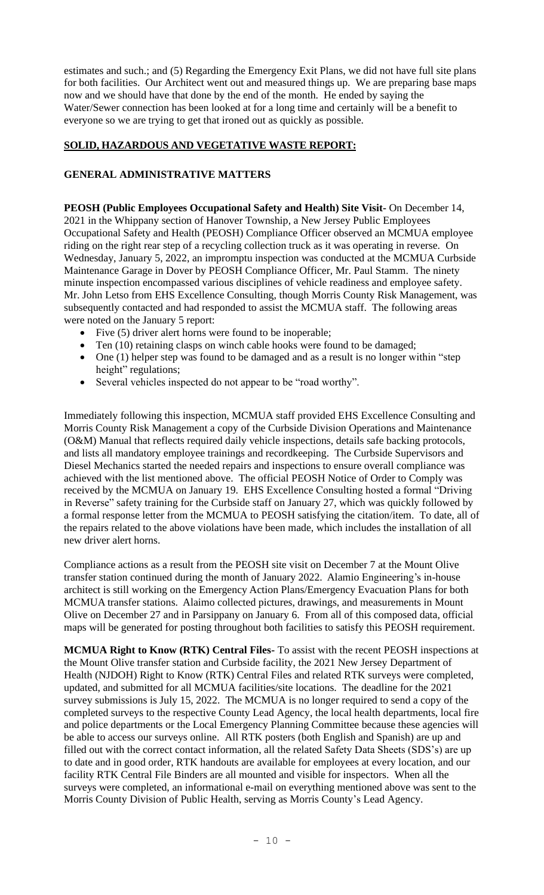estimates and such.; and (5) Regarding the Emergency Exit Plans, we did not have full site plans for both facilities. Our Architect went out and measured things up. We are preparing base maps now and we should have that done by the end of the month. He ended by saying the Water/Sewer connection has been looked at for a long time and certainly will be a benefit to everyone so we are trying to get that ironed out as quickly as possible.

# **SOLID, HAZARDOUS AND VEGETATIVE WASTE REPORT:**

# **GENERAL ADMINISTRATIVE MATTERS**

**PEOSH (Public Employees Occupational Safety and Health) Site Visit-** On December 14, 2021 in the Whippany section of Hanover Township, a New Jersey Public Employees Occupational Safety and Health (PEOSH) Compliance Officer observed an MCMUA employee riding on the right rear step of a recycling collection truck as it was operating in reverse. On Wednesday, January 5, 2022, an impromptu inspection was conducted at the MCMUA Curbside Maintenance Garage in Dover by PEOSH Compliance Officer, Mr. Paul Stamm. The ninety minute inspection encompassed various disciplines of vehicle readiness and employee safety. Mr. John Letso from EHS Excellence Consulting, though Morris County Risk Management, was subsequently contacted and had responded to assist the MCMUA staff. The following areas were noted on the January 5 report:

- Five (5) driver alert horns were found to be inoperable;
- Ten (10) retaining clasps on winch cable hooks were found to be damaged;
- One (1) helper step was found to be damaged and as a result is no longer within "step height" regulations;
- Several vehicles inspected do not appear to be "road worthy".

Immediately following this inspection, MCMUA staff provided EHS Excellence Consulting and Morris County Risk Management a copy of the Curbside Division Operations and Maintenance (O&M) Manual that reflects required daily vehicle inspections, details safe backing protocols, and lists all mandatory employee trainings and recordkeeping. The Curbside Supervisors and Diesel Mechanics started the needed repairs and inspections to ensure overall compliance was achieved with the list mentioned above. The official PEOSH Notice of Order to Comply was received by the MCMUA on January 19. EHS Excellence Consulting hosted a formal "Driving in Reverse" safety training for the Curbside staff on January 27, which was quickly followed by a formal response letter from the MCMUA to PEOSH satisfying the citation/item. To date, all of the repairs related to the above violations have been made, which includes the installation of all new driver alert horns.

Compliance actions as a result from the PEOSH site visit on December 7 at the Mount Olive transfer station continued during the month of January 2022. Alamio Engineering's in-house architect is still working on the Emergency Action Plans/Emergency Evacuation Plans for both MCMUA transfer stations. Alaimo collected pictures, drawings, and measurements in Mount Olive on December 27 and in Parsippany on January 6. From all of this composed data, official maps will be generated for posting throughout both facilities to satisfy this PEOSH requirement.

**MCMUA Right to Know (RTK) Central Files-** To assist with the recent PEOSH inspections at the Mount Olive transfer station and Curbside facility, the 2021 New Jersey Department of Health (NJDOH) Right to Know (RTK) Central Files and related RTK surveys were completed, updated, and submitted for all MCMUA facilities/site locations. The deadline for the 2021 survey submissions is July 15, 2022. The MCMUA is no longer required to send a copy of the completed surveys to the respective County Lead Agency, the local health departments, local fire and police departments or the Local Emergency Planning Committee because these agencies will be able to access our surveys online. All RTK posters (both English and Spanish) are up and filled out with the correct contact information, all the related Safety Data Sheets (SDS's) are up to date and in good order, RTK handouts are available for employees at every location, and our facility RTK Central File Binders are all mounted and visible for inspectors. When all the surveys were completed, an informational e-mail on everything mentioned above was sent to the Morris County Division of Public Health, serving as Morris County's Lead Agency.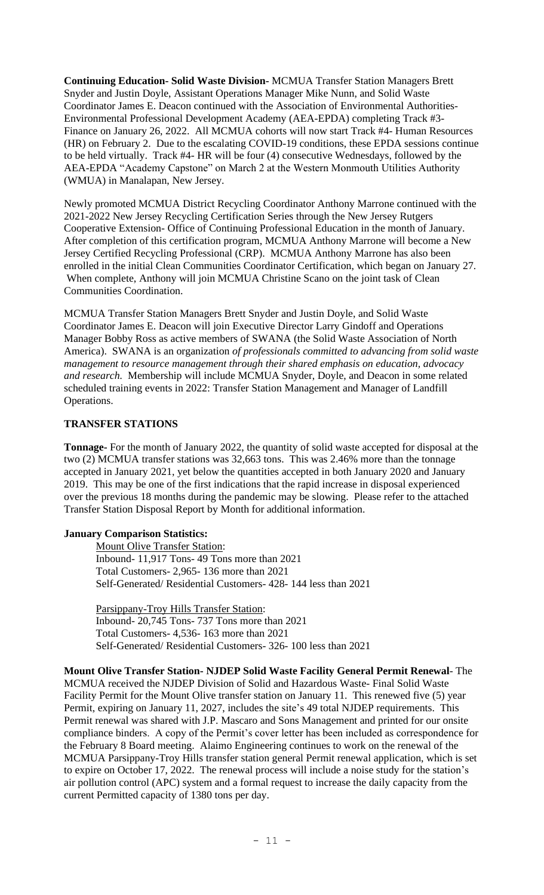**Continuing Education- Solid Waste Division-** MCMUA Transfer Station Managers Brett Snyder and Justin Doyle, Assistant Operations Manager Mike Nunn, and Solid Waste Coordinator James E. Deacon continued with the Association of Environmental Authorities-Environmental Professional Development Academy (AEA-EPDA) completing Track #3- Finance on January 26, 2022. All MCMUA cohorts will now start Track #4- Human Resources (HR) on February 2. Due to the escalating COVID-19 conditions, these EPDA sessions continue to be held virtually. Track #4- HR will be four (4) consecutive Wednesdays, followed by the AEA-EPDA "Academy Capstone" on March 2 at the Western Monmouth Utilities Authority (WMUA) in Manalapan, New Jersey.

Newly promoted MCMUA District Recycling Coordinator Anthony Marrone continued with the 2021-2022 New Jersey Recycling Certification Series through the New Jersey Rutgers Cooperative Extension- Office of Continuing Professional Education in the month of January. After completion of this certification program, MCMUA Anthony Marrone will become a New Jersey Certified Recycling Professional (CRP). MCMUA Anthony Marrone has also been enrolled in the initial Clean Communities Coordinator Certification, which began on January 27. When complete, Anthony will join MCMUA Christine Scano on the joint task of Clean Communities Coordination.

MCMUA Transfer Station Managers Brett Snyder and Justin Doyle, and Solid Waste Coordinator James E. Deacon will join Executive Director Larry Gindoff and Operations Manager Bobby Ross as active members of SWANA (the Solid Waste Association of North America). SWANA is an organization *of professionals committed to advancing from solid waste management to resource management through their shared emphasis on education, advocacy and research.* Membership will include MCMUA Snyder, Doyle, and Deacon in some related scheduled training events in 2022: Transfer Station Management and Manager of Landfill Operations.

## **TRANSFER STATIONS**

**Tonnage-** For the month of January 2022, the quantity of solid waste accepted for disposal at the two (2) MCMUA transfer stations was 32,663 tons. This was 2.46% more than the tonnage accepted in January 2021, yet below the quantities accepted in both January 2020 and January 2019. This may be one of the first indications that the rapid increase in disposal experienced over the previous 18 months during the pandemic may be slowing. Please refer to the attached Transfer Station Disposal Report by Month for additional information.

## **January Comparison Statistics:**

 Mount Olive Transfer Station: Inbound- 11,917 Tons- 49 Tons more than 2021 Total Customers- 2,965- 136 more than 2021 Self-Generated/ Residential Customers- 428- 144 less than 2021

 Parsippany-Troy Hills Transfer Station: Inbound- 20,745 Tons- 737 Tons more than 2021 Total Customers- 4,536- 163 more than 2021 Self-Generated/ Residential Customers- 326- 100 less than 2021

**Mount Olive Transfer Station- NJDEP Solid Waste Facility General Permit Renewal**- The MCMUA received the NJDEP Division of Solid and Hazardous Waste- Final Solid Waste Facility Permit for the Mount Olive transfer station on January 11. This renewed five (5) year Permit, expiring on January 11, 2027, includes the site's 49 total NJDEP requirements. This Permit renewal was shared with J.P. Mascaro and Sons Management and printed for our onsite compliance binders. A copy of the Permit's cover letter has been included as correspondence for the February 8 Board meeting. Alaimo Engineering continues to work on the renewal of the MCMUA Parsippany-Troy Hills transfer station general Permit renewal application, which is set to expire on October 17, 2022. The renewal process will include a noise study for the station's air pollution control (APC) system and a formal request to increase the daily capacity from the current Permitted capacity of 1380 tons per day.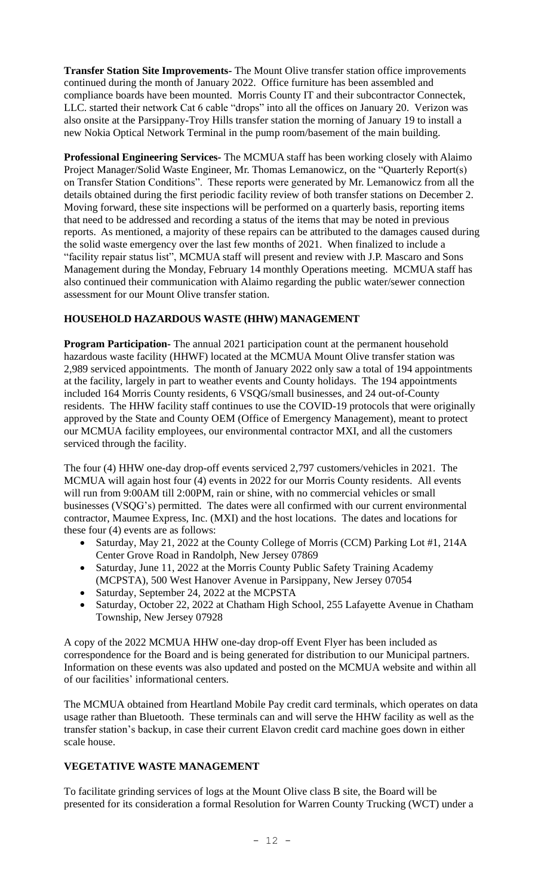**Transfer Station Site Improvements-** The Mount Olive transfer station office improvements continued during the month of January 2022. Office furniture has been assembled and compliance boards have been mounted. Morris County IT and their subcontractor Connectek, LLC. started their network Cat 6 cable "drops" into all the offices on January 20. Verizon was also onsite at the Parsippany-Troy Hills transfer station the morning of January 19 to install a new Nokia Optical Network Terminal in the pump room/basement of the main building.

**Professional Engineering Services-** The MCMUA staff has been working closely with Alaimo Project Manager/Solid Waste Engineer, Mr. Thomas Lemanowicz, on the "Quarterly Report(s) on Transfer Station Conditions". These reports were generated by Mr. Lemanowicz from all the details obtained during the first periodic facility review of both transfer stations on December 2. Moving forward, these site inspections will be performed on a quarterly basis, reporting items that need to be addressed and recording a status of the items that may be noted in previous reports. As mentioned, a majority of these repairs can be attributed to the damages caused during the solid waste emergency over the last few months of 2021. When finalized to include a "facility repair status list", MCMUA staff will present and review with J.P. Mascaro and Sons Management during the Monday, February 14 monthly Operations meeting. MCMUA staff has also continued their communication with Alaimo regarding the public water/sewer connection assessment for our Mount Olive transfer station.

## **HOUSEHOLD HAZARDOUS WASTE (HHW) MANAGEMENT**

**Program Participation-** The annual 2021 participation count at the permanent household hazardous waste facility (HHWF) located at the MCMUA Mount Olive transfer station was 2,989 serviced appointments. The month of January 2022 only saw a total of 194 appointments at the facility, largely in part to weather events and County holidays. The 194 appointments included 164 Morris County residents, 6 VSQG/small businesses, and 24 out-of-County residents. The HHW facility staff continues to use the COVID-19 protocols that were originally approved by the State and County OEM (Office of Emergency Management), meant to protect our MCMUA facility employees, our environmental contractor MXI, and all the customers serviced through the facility.

The four (4) HHW one-day drop-off events serviced 2,797 customers/vehicles in 2021. The MCMUA will again host four (4) events in 2022 for our Morris County residents. All events will run from 9:00AM till 2:00PM, rain or shine, with no commercial vehicles or small businesses (VSQG's) permitted. The dates were all confirmed with our current environmental contractor, Maumee Express, Inc. (MXI) and the host locations. The dates and locations for these four (4) events are as follows:

- Saturday, May 21, 2022 at the County College of Morris (CCM) Parking Lot #1, 214A Center Grove Road in Randolph, New Jersey 07869
- Saturday, June 11, 2022 at the Morris County Public Safety Training Academy (MCPSTA), 500 West Hanover Avenue in Parsippany, New Jersey 07054
- Saturday, September 24, 2022 at the MCPSTA
- Saturday, October 22, 2022 at Chatham High School, 255 Lafayette Avenue in Chatham Township, New Jersey 07928

A copy of the 2022 MCMUA HHW one-day drop-off Event Flyer has been included as correspondence for the Board and is being generated for distribution to our Municipal partners. Information on these events was also updated and posted on the MCMUA website and within all of our facilities' informational centers.

The MCMUA obtained from Heartland Mobile Pay credit card terminals, which operates on data usage rather than Bluetooth. These terminals can and will serve the HHW facility as well as the transfer station's backup, in case their current Elavon credit card machine goes down in either scale house.

## **VEGETATIVE WASTE MANAGEMENT**

To facilitate grinding services of logs at the Mount Olive class B site, the Board will be presented for its consideration a formal Resolution for Warren County Trucking (WCT) under a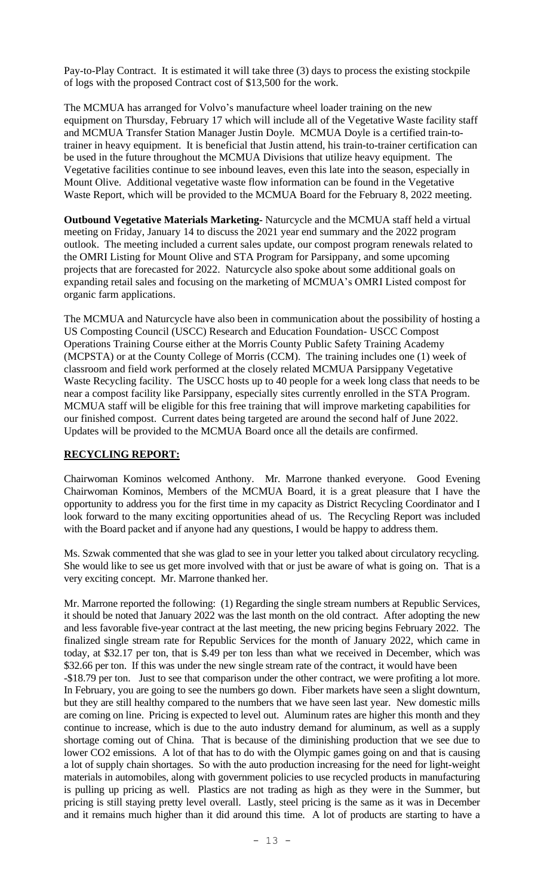Pay-to-Play Contract. It is estimated it will take three (3) days to process the existing stockpile of logs with the proposed Contract cost of \$13,500 for the work.

The MCMUA has arranged for Volvo's manufacture wheel loader training on the new equipment on Thursday, February 17 which will include all of the Vegetative Waste facility staff and MCMUA Transfer Station Manager Justin Doyle. MCMUA Doyle is a certified train-totrainer in heavy equipment. It is beneficial that Justin attend, his train-to-trainer certification can be used in the future throughout the MCMUA Divisions that utilize heavy equipment. The Vegetative facilities continue to see inbound leaves, even this late into the season, especially in Mount Olive. Additional vegetative waste flow information can be found in the Vegetative Waste Report, which will be provided to the MCMUA Board for the February 8, 2022 meeting.

**Outbound Vegetative Materials Marketing-** Naturcycle and the MCMUA staff held a virtual meeting on Friday, January 14 to discuss the 2021 year end summary and the 2022 program outlook. The meeting included a current sales update, our compost program renewals related to the OMRI Listing for Mount Olive and STA Program for Parsippany, and some upcoming projects that are forecasted for 2022. Naturcycle also spoke about some additional goals on expanding retail sales and focusing on the marketing of MCMUA's OMRI Listed compost for organic farm applications.

The MCMUA and Naturcycle have also been in communication about the possibility of hosting a US Composting Council (USCC) Research and Education Foundation- USCC Compost Operations Training Course either at the Morris County Public Safety Training Academy (MCPSTA) or at the County College of Morris (CCM). The training includes one (1) week of classroom and field work performed at the closely related MCMUA Parsippany Vegetative Waste Recycling facility. The USCC hosts up to 40 people for a week long class that needs to be near a compost facility like Parsippany, especially sites currently enrolled in the STA Program. MCMUA staff will be eligible for this free training that will improve marketing capabilities for our finished compost. Current dates being targeted are around the second half of June 2022. Updates will be provided to the MCMUA Board once all the details are confirmed.

## **RECYCLING REPORT:**

Chairwoman Kominos welcomed Anthony. Mr. Marrone thanked everyone. Good Evening Chairwoman Kominos, Members of the MCMUA Board, it is a great pleasure that I have the opportunity to address you for the first time in my capacity as District Recycling Coordinator and I look forward to the many exciting opportunities ahead of us. The Recycling Report was included with the Board packet and if anyone had any questions, I would be happy to address them.

Ms. Szwak commented that she was glad to see in your letter you talked about circulatory recycling. She would like to see us get more involved with that or just be aware of what is going on. That is a very exciting concept. Mr. Marrone thanked her.

Mr. Marrone reported the following: (1) Regarding the single stream numbers at Republic Services, it should be noted that January 2022 was the last month on the old contract. After adopting the new and less favorable five-year contract at the last meeting, the new pricing begins February 2022. The finalized single stream rate for Republic Services for the month of January 2022, which came in today, at \$32.17 per ton, that is \$.49 per ton less than what we received in December, which was \$32.66 per ton. If this was under the new single stream rate of the contract, it would have been -\$18.79 per ton. Just to see that comparison under the other contract, we were profiting a lot more. In February, you are going to see the numbers go down. Fiber markets have seen a slight downturn, but they are still healthy compared to the numbers that we have seen last year. New domestic mills are coming on line. Pricing is expected to level out. Aluminum rates are higher this month and they continue to increase, which is due to the auto industry demand for aluminum, as well as a supply shortage coming out of China. That is because of the diminishing production that we see due to lower CO2 emissions. A lot of that has to do with the Olympic games going on and that is causing a lot of supply chain shortages. So with the auto production increasing for the need for light-weight materials in automobiles, along with government policies to use recycled products in manufacturing is pulling up pricing as well. Plastics are not trading as high as they were in the Summer, but pricing is still staying pretty level overall. Lastly, steel pricing is the same as it was in December and it remains much higher than it did around this time. A lot of products are starting to have a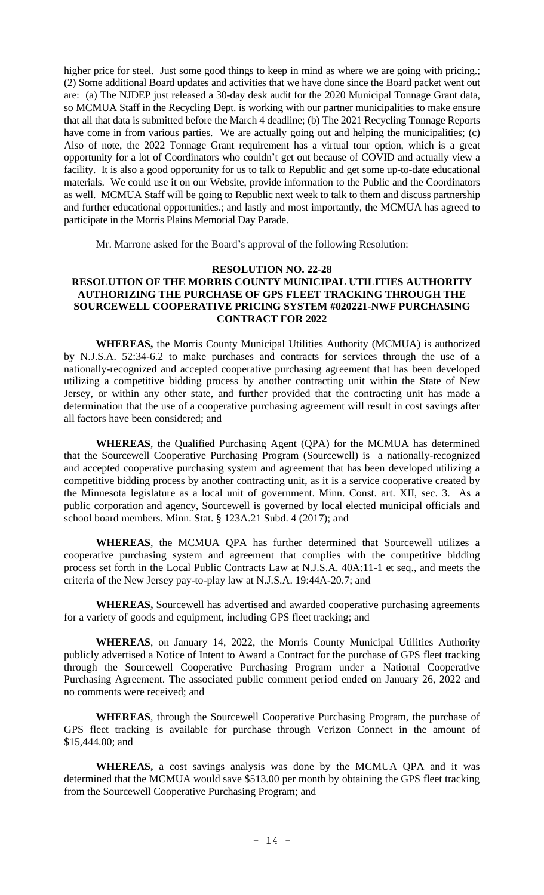higher price for steel. Just some good things to keep in mind as where we are going with pricing.; (2) Some additional Board updates and activities that we have done since the Board packet went out are: (a) The NJDEP just released a 30-day desk audit for the 2020 Municipal Tonnage Grant data, so MCMUA Staff in the Recycling Dept. is working with our partner municipalities to make ensure that all that data is submitted before the March 4 deadline; (b) The 2021 Recycling Tonnage Reports have come in from various parties. We are actually going out and helping the municipalities; (c) Also of note, the 2022 Tonnage Grant requirement has a virtual tour option, which is a great opportunity for a lot of Coordinators who couldn't get out because of COVID and actually view a facility. It is also a good opportunity for us to talk to Republic and get some up-to-date educational materials. We could use it on our Website, provide information to the Public and the Coordinators as well. MCMUA Staff will be going to Republic next week to talk to them and discuss partnership and further educational opportunities.; and lastly and most importantly, the MCMUA has agreed to participate in the Morris Plains Memorial Day Parade.

Mr. Marrone asked for the Board's approval of the following Resolution:

#### **RESOLUTION NO. 22-28**

## **RESOLUTION OF THE MORRIS COUNTY MUNICIPAL UTILITIES AUTHORITY AUTHORIZING THE PURCHASE OF GPS FLEET TRACKING THROUGH THE SOURCEWELL COOPERATIVE PRICING SYSTEM #020221-NWF PURCHASING CONTRACT FOR 2022**

**WHEREAS,** the Morris County Municipal Utilities Authority (MCMUA) is authorized by N.J.S.A. 52:34-6.2 to make purchases and contracts for services through the use of a nationally-recognized and accepted cooperative purchasing agreement that has been developed utilizing a competitive bidding process by another contracting unit within the State of New Jersey, or within any other state, and further provided that the contracting unit has made a determination that the use of a cooperative purchasing agreement will result in cost savings after all factors have been considered; and

**WHEREAS**, the Qualified Purchasing Agent (QPA) for the MCMUA has determined that the Sourcewell Cooperative Purchasing Program (Sourcewell) is a nationally-recognized and accepted cooperative purchasing system and agreement that has been developed utilizing a competitive bidding process by another contracting unit, as it is a service cooperative created by the Minnesota legislature as a local unit of government. Minn. Const. art. XII, sec. 3. As a public corporation and agency, Sourcewell is governed by local elected municipal officials and school board members. Minn. Stat. § 123A.21 Subd. 4 (2017); and

**WHEREAS**, the MCMUA QPA has further determined that Sourcewell utilizes a cooperative purchasing system and agreement that complies with the competitive bidding process set forth in the Local Public Contracts Law at N.J.S.A. 40A:11-1 et seq., and meets the criteria of the New Jersey pay-to-play law at N.J.S.A. 19:44A-20.7; and

**WHEREAS,** Sourcewell has advertised and awarded cooperative purchasing agreements for a variety of goods and equipment, including GPS fleet tracking; and

**WHEREAS**, on January 14, 2022, the Morris County Municipal Utilities Authority publicly advertised a Notice of Intent to Award a Contract for the purchase of GPS fleet tracking through the Sourcewell Cooperative Purchasing Program under a National Cooperative Purchasing Agreement. The associated public comment period ended on January 26, 2022 and no comments were received; and

**WHEREAS**, through the Sourcewell Cooperative Purchasing Program, the purchase of GPS fleet tracking is available for purchase through Verizon Connect in the amount of \$15,444.00; and

**WHEREAS,** a cost savings analysis was done by the MCMUA QPA and it was determined that the MCMUA would save \$513.00 per month by obtaining the GPS fleet tracking from the Sourcewell Cooperative Purchasing Program; and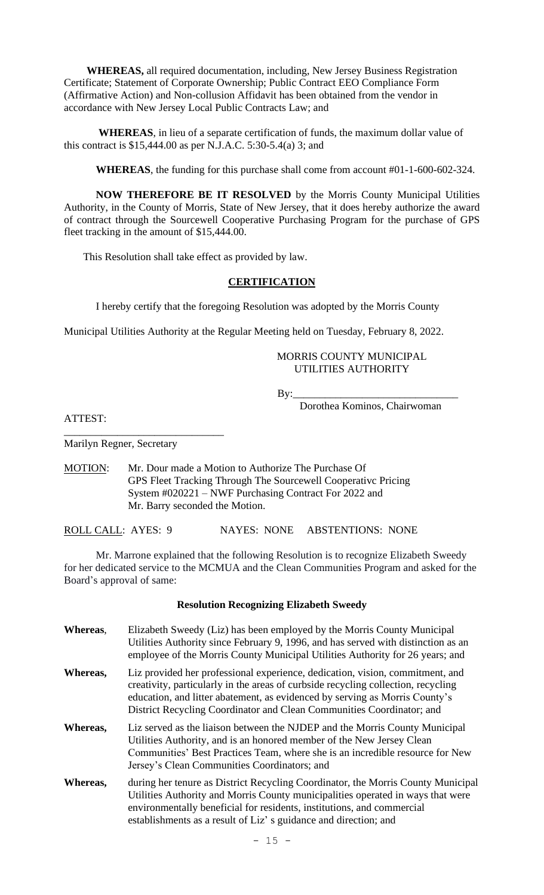**WHEREAS,** all required documentation, including, New Jersey Business Registration Certificate; Statement of Corporate Ownership; Public Contract EEO Compliance Form (Affirmative Action) and Non-collusion Affidavit has been obtained from the vendor in accordance with New Jersey Local Public Contracts Law; and

**WHEREAS**, in lieu of a separate certification of funds, the maximum dollar value of this contract is \$15,444.00 as per N.J.A.C. 5:30-5.4(a) 3; and

**WHEREAS**, the funding for this purchase shall come from account #01-1-600-602-324.

**NOW THEREFORE BE IT RESOLVED** by the Morris County Municipal Utilities Authority, in the County of Morris, State of New Jersey, that it does hereby authorize the award of contract through the Sourcewell Cooperative Purchasing Program for the purchase of GPS fleet tracking in the amount of \$15,444.00.

This Resolution shall take effect as provided by law.

### **CERTIFICATION**

I hereby certify that the foregoing Resolution was adopted by the Morris County

Municipal Utilities Authority at the Regular Meeting held on Tuesday, February 8, 2022.

MORRIS COUNTY MUNICIPAL UTILITIES AUTHORITY

By:\_\_\_\_\_\_\_\_\_\_\_\_\_\_\_\_\_\_\_\_\_\_\_\_\_\_\_\_\_\_\_

Dorothea Kominos, Chairwoman

ATTEST:

Marilyn Regner, Secretary

\_\_\_\_\_\_\_\_\_\_\_\_\_\_\_\_\_\_\_\_\_\_\_\_\_\_\_\_\_\_

MOTION: Mr. Dour made a Motion to Authorize The Purchase Of GPS Fleet Tracking Through The Sourcewell Cooperativc Pricing System #020221 – NWF Purchasing Contract For 2022 and Mr. Barry seconded the Motion.

ROLL CALL: AYES: 9 NAYES: NONE ABSTENTIONS: NONE

Mr. Marrone explained that the following Resolution is to recognize Elizabeth Sweedy for her dedicated service to the MCMUA and the Clean Communities Program and asked for the Board's approval of same:

#### **Resolution Recognizing Elizabeth Sweedy**

**Whereas**, Elizabeth Sweedy (Liz) has been employed by the Morris County Municipal Utilities Authority since February 9, 1996, and has served with distinction as an employee of the Morris County Municipal Utilities Authority for 26 years; and **Whereas,** Liz provided her professional experience, dedication, vision, commitment, and creativity, particularly in the areas of curbside recycling collection, recycling education, and litter abatement, as evidenced by serving as Morris County's District Recycling Coordinator and Clean Communities Coordinator; and **Whereas,** Liz served as the liaison between the NJDEP and the Morris County Municipal Utilities Authority, and is an honored member of the New Jersey Clean Communities' Best Practices Team, where she is an incredible resource for New Jersey's Clean Communities Coordinators; and **Whereas,** during her tenure as District Recycling Coordinator, the Morris County Municipal Utilities Authority and Morris County municipalities operated in ways that were environmentally beneficial for residents, institutions, and commercial establishments as a result of Liz' s guidance and direction; and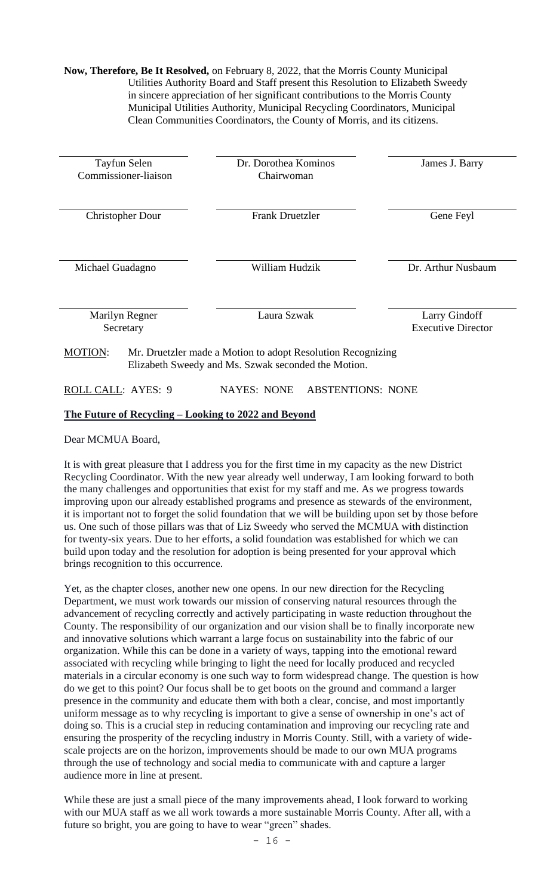**Now, Therefore, Be It Resolved,** on February 8, 2022, that the Morris County Municipal Utilities Authority Board and Staff present this Resolution to Elizabeth Sweedy in sincere appreciation of her significant contributions to the Morris County Municipal Utilities Authority, Municipal Recycling Coordinators, Municipal Clean Communities Coordinators, the County of Morris, and its citizens.

| Tayfun Selen<br>Commissioner-liaison                                                                                                 |           | Dr. Dorothea Kominos<br>Chairwoman |                           | James J. Barry |  |
|--------------------------------------------------------------------------------------------------------------------------------------|-----------|------------------------------------|---------------------------|----------------|--|
|                                                                                                                                      |           |                                    |                           |                |  |
| <b>Christopher Dour</b>                                                                                                              |           | <b>Frank Druetzler</b>             |                           | Gene Feyl      |  |
|                                                                                                                                      |           |                                    |                           |                |  |
| William Hudzik<br>Michael Guadagno                                                                                                   |           | Dr. Arthur Nusbaum                 |                           |                |  |
|                                                                                                                                      |           |                                    |                           |                |  |
| <b>Marilyn Regner</b>                                                                                                                |           | Laura Szwak                        |                           | Larry Gindoff  |  |
|                                                                                                                                      | Secretary |                                    | <b>Executive Director</b> |                |  |
| <b>MOTION:</b><br>Mr. Druetzler made a Motion to adopt Resolution Recognizing<br>Elizabeth Sweedy and Ms. Szwak seconded the Motion. |           |                                    |                           |                |  |
| ROLL CALL: AYES: 9                                                                                                                   |           | <b>NAYES: NONE</b>                 | <b>ABSTENTIONS: NONE</b>  |                |  |
|                                                                                                                                      |           |                                    |                           |                |  |

## **The Future of Recycling – Looking to 2022 and Beyond**

Dear MCMUA Board,

It is with great pleasure that I address you for the first time in my capacity as the new District Recycling Coordinator. With the new year already well underway, I am looking forward to both the many challenges and opportunities that exist for my staff and me. As we progress towards improving upon our already established programs and presence as stewards of the environment, it is important not to forget the solid foundation that we will be building upon set by those before us. One such of those pillars was that of Liz Sweedy who served the MCMUA with distinction for twenty-six years. Due to her efforts, a solid foundation was established for which we can build upon today and the resolution for adoption is being presented for your approval which brings recognition to this occurrence.

Yet, as the chapter closes, another new one opens. In our new direction for the Recycling Department, we must work towards our mission of conserving natural resources through the advancement of recycling correctly and actively participating in waste reduction throughout the County. The responsibility of our organization and our vision shall be to finally incorporate new and innovative solutions which warrant a large focus on sustainability into the fabric of our organization. While this can be done in a variety of ways, tapping into the emotional reward associated with recycling while bringing to light the need for locally produced and recycled materials in a circular economy is one such way to form widespread change. The question is how do we get to this point? Our focus shall be to get boots on the ground and command a larger presence in the community and educate them with both a clear, concise, and most importantly uniform message as to why recycling is important to give a sense of ownership in one's act of doing so. This is a crucial step in reducing contamination and improving our recycling rate and ensuring the prosperity of the recycling industry in Morris County. Still, with a variety of widescale projects are on the horizon, improvements should be made to our own MUA programs through the use of technology and social media to communicate with and capture a larger audience more in line at present.

While these are just a small piece of the many improvements ahead, I look forward to working with our MUA staff as we all work towards a more sustainable Morris County. After all, with a future so bright, you are going to have to wear "green" shades.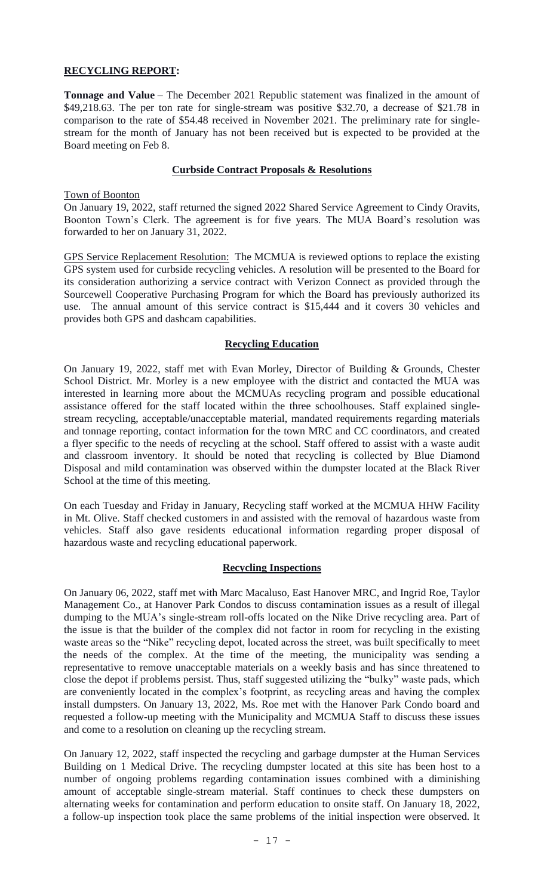# **RECYCLING REPORT:**

**Tonnage and Value** – The December 2021 Republic statement was finalized in the amount of \$49,218.63. The per ton rate for single-stream was positive \$32.70, a decrease of \$21.78 in comparison to the rate of \$54.48 received in November 2021. The preliminary rate for singlestream for the month of January has not been received but is expected to be provided at the Board meeting on Feb 8.

## **Curbside Contract Proposals & Resolutions**

### Town of Boonton

On January 19, 2022, staff returned the signed 2022 Shared Service Agreement to Cindy Oravits, Boonton Town's Clerk. The agreement is for five years. The MUA Board's resolution was forwarded to her on January 31, 2022.

GPS Service Replacement Resolution: The MCMUA is reviewed options to replace the existing GPS system used for curbside recycling vehicles. A resolution will be presented to the Board for its consideration authorizing a service contract with Verizon Connect as provided through the Sourcewell Cooperative Purchasing Program for which the Board has previously authorized its use. The annual amount of this service contract is \$15,444 and it covers 30 vehicles and provides both GPS and dashcam capabilities.

## **Recycling Education**

On January 19, 2022, staff met with Evan Morley, Director of Building & Grounds, Chester School District. Mr. Morley is a new employee with the district and contacted the MUA was interested in learning more about the MCMUAs recycling program and possible educational assistance offered for the staff located within the three schoolhouses. Staff explained singlestream recycling, acceptable/unacceptable material, mandated requirements regarding materials and tonnage reporting, contact information for the town MRC and CC coordinators, and created a flyer specific to the needs of recycling at the school. Staff offered to assist with a waste audit and classroom inventory. It should be noted that recycling is collected by Blue Diamond Disposal and mild contamination was observed within the dumpster located at the Black River School at the time of this meeting.

On each Tuesday and Friday in January, Recycling staff worked at the MCMUA HHW Facility in Mt. Olive. Staff checked customers in and assisted with the removal of hazardous waste from vehicles. Staff also gave residents educational information regarding proper disposal of hazardous waste and recycling educational paperwork.

## **Recycling Inspections**

On January 06, 2022, staff met with Marc Macaluso, East Hanover MRC, and Ingrid Roe, Taylor Management Co., at Hanover Park Condos to discuss contamination issues as a result of illegal dumping to the MUA's single-stream roll-offs located on the Nike Drive recycling area. Part of the issue is that the builder of the complex did not factor in room for recycling in the existing waste areas so the "Nike" recycling depot, located across the street, was built specifically to meet the needs of the complex. At the time of the meeting, the municipality was sending a representative to remove unacceptable materials on a weekly basis and has since threatened to close the depot if problems persist. Thus, staff suggested utilizing the "bulky" waste pads, which are conveniently located in the complex's footprint, as recycling areas and having the complex install dumpsters. On January 13, 2022, Ms. Roe met with the Hanover Park Condo board and requested a follow-up meeting with the Municipality and MCMUA Staff to discuss these issues and come to a resolution on cleaning up the recycling stream.

On January 12, 2022, staff inspected the recycling and garbage dumpster at the Human Services Building on 1 Medical Drive. The recycling dumpster located at this site has been host to a number of ongoing problems regarding contamination issues combined with a diminishing amount of acceptable single-stream material. Staff continues to check these dumpsters on alternating weeks for contamination and perform education to onsite staff. On January 18, 2022, a follow-up inspection took place the same problems of the initial inspection were observed. It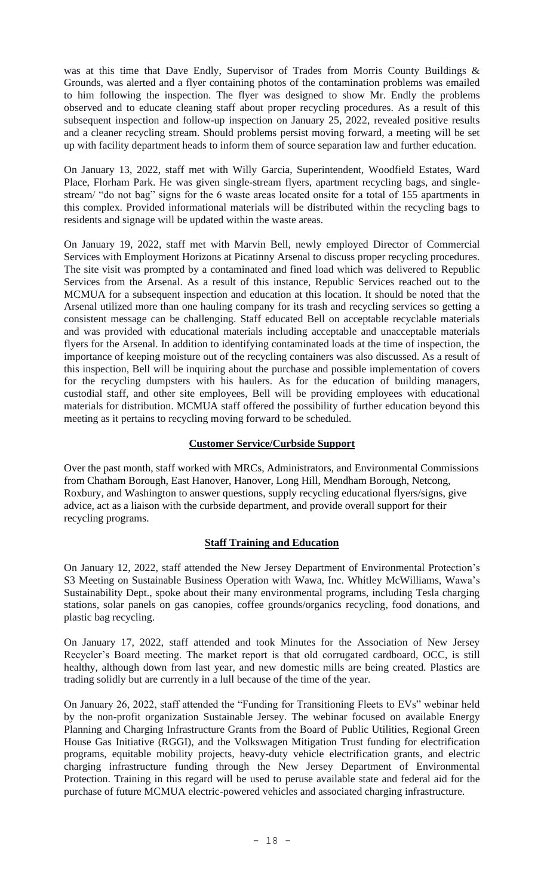was at this time that Dave Endly, Supervisor of Trades from Morris County Buildings & Grounds, was alerted and a flyer containing photos of the contamination problems was emailed to him following the inspection. The flyer was designed to show Mr. Endly the problems observed and to educate cleaning staff about proper recycling procedures. As a result of this subsequent inspection and follow-up inspection on January 25, 2022, revealed positive results and a cleaner recycling stream. Should problems persist moving forward, a meeting will be set up with facility department heads to inform them of source separation law and further education.

On January 13, 2022, staff met with Willy Garcia, Superintendent, Woodfield Estates, Ward Place, Florham Park. He was given single-stream flyers, apartment recycling bags, and singlestream/ "do not bag" signs for the 6 waste areas located onsite for a total of 155 apartments in this complex. Provided informational materials will be distributed within the recycling bags to residents and signage will be updated within the waste areas.

On January 19, 2022, staff met with Marvin Bell, newly employed Director of Commercial Services with Employment Horizons at Picatinny Arsenal to discuss proper recycling procedures. The site visit was prompted by a contaminated and fined load which was delivered to Republic Services from the Arsenal. As a result of this instance, Republic Services reached out to the MCMUA for a subsequent inspection and education at this location. It should be noted that the Arsenal utilized more than one hauling company for its trash and recycling services so getting a consistent message can be challenging. Staff educated Bell on acceptable recyclable materials and was provided with educational materials including acceptable and unacceptable materials flyers for the Arsenal. In addition to identifying contaminated loads at the time of inspection, the importance of keeping moisture out of the recycling containers was also discussed. As a result of this inspection, Bell will be inquiring about the purchase and possible implementation of covers for the recycling dumpsters with his haulers. As for the education of building managers, custodial staff, and other site employees, Bell will be providing employees with educational materials for distribution. MCMUA staff offered the possibility of further education beyond this meeting as it pertains to recycling moving forward to be scheduled.

# **Customer Service/Curbside Support**

Over the past month, staff worked with MRCs, Administrators, and Environmental Commissions from Chatham Borough, East Hanover, Hanover, Long Hill, Mendham Borough, Netcong, Roxbury, and Washington to answer questions, supply recycling educational flyers/signs, give advice, act as a liaison with the curbside department, and provide overall support for their recycling programs.

# **Staff Training and Education**

On January 12, 2022, staff attended the New Jersey Department of Environmental Protection's S3 Meeting on Sustainable Business Operation with Wawa, Inc. Whitley McWilliams, Wawa's Sustainability Dept., spoke about their many environmental programs, including Tesla charging stations, solar panels on gas canopies, coffee grounds/organics recycling, food donations, and plastic bag recycling.

On January 17, 2022, staff attended and took Minutes for the Association of New Jersey Recycler's Board meeting. The market report is that old corrugated cardboard, OCC, is still healthy, although down from last year, and new domestic mills are being created. Plastics are trading solidly but are currently in a lull because of the time of the year.

On January 26, 2022, staff attended the "Funding for Transitioning Fleets to EVs" webinar held by the non-profit organization Sustainable Jersey. The webinar focused on available Energy Planning and Charging Infrastructure Grants from the Board of Public Utilities, Regional Green House Gas Initiative (RGGI), and the Volkswagen Mitigation Trust funding for electrification programs, equitable mobility projects, heavy-duty vehicle electrification grants, and electric charging infrastructure funding through the New Jersey Department of Environmental Protection. Training in this regard will be used to peruse available state and federal aid for the purchase of future MCMUA electric-powered vehicles and associated charging infrastructure.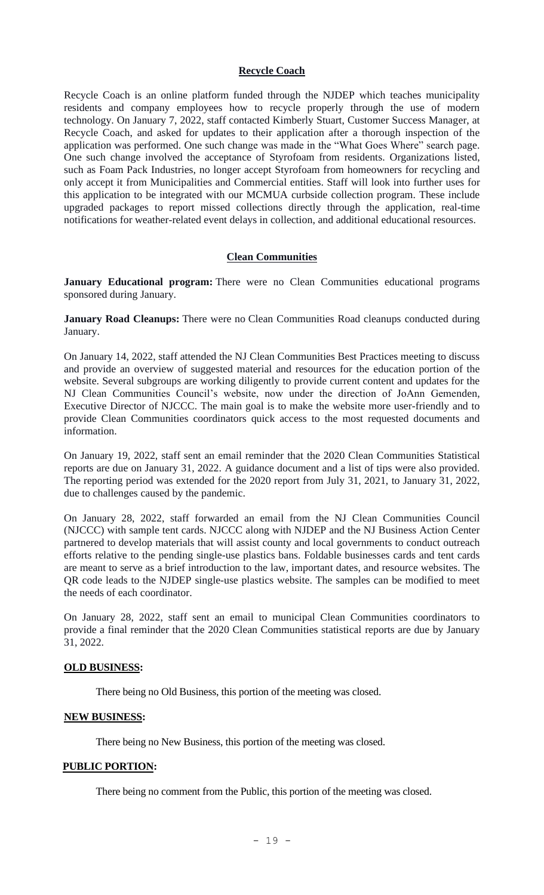### **Recycle Coach**

Recycle Coach is an online platform funded through the NJDEP which teaches municipality residents and company employees how to recycle properly through the use of modern technology. On January 7, 2022, staff contacted Kimberly Stuart, Customer Success Manager, at Recycle Coach, and asked for updates to their application after a thorough inspection of the application was performed. One such change was made in the "What Goes Where" search page. One such change involved the acceptance of Styrofoam from residents. Organizations listed, such as Foam Pack Industries, no longer accept Styrofoam from homeowners for recycling and only accept it from Municipalities and Commercial entities. Staff will look into further uses for this application to be integrated with our MCMUA curbside collection program. These include upgraded packages to report missed collections directly through the application, real-time notifications for weather-related event delays in collection, and additional educational resources.

### **Clean Communities**

**January Educational program:** There were no Clean Communities educational programs sponsored during January.

**January Road Cleanups:** There were no Clean Communities Road cleanups conducted during January.

On January 14, 2022, staff attended the NJ Clean Communities Best Practices meeting to discuss and provide an overview of suggested material and resources for the education portion of the website. Several subgroups are working diligently to provide current content and updates for the NJ Clean Communities Council's website, now under the direction of JoAnn Gemenden, Executive Director of NJCCC. The main goal is to make the website more user-friendly and to provide Clean Communities coordinators quick access to the most requested documents and information.

On January 19, 2022, staff sent an email reminder that the 2020 Clean Communities Statistical reports are due on January 31, 2022. A guidance document and a list of tips were also provided. The reporting period was extended for the 2020 report from July 31, 2021, to January 31, 2022, due to challenges caused by the pandemic.

On January 28, 2022, staff forwarded an email from the NJ Clean Communities Council (NJCCC) with sample tent cards. NJCCC along with NJDEP and the NJ Business Action Center partnered to develop materials that will assist county and local governments to conduct outreach efforts relative to the pending single-use plastics bans. Foldable businesses cards and tent cards are meant to serve as a brief introduction to the law, important dates, and resource websites. The QR code leads to the NJDEP single-use plastics website. The samples can be modified to meet the needs of each coordinator.

On January 28, 2022, staff sent an email to municipal Clean Communities coordinators to provide a final reminder that the 2020 Clean Communities statistical reports are due by January 31, 2022.

## **OLD BUSINESS:**

There being no Old Business, this portion of the meeting was closed.

#### **NEW BUSINESS:**

There being no New Business, this portion of the meeting was closed.

#### **PUBLIC PORTION:**

There being no comment from the Public, this portion of the meeting was closed.